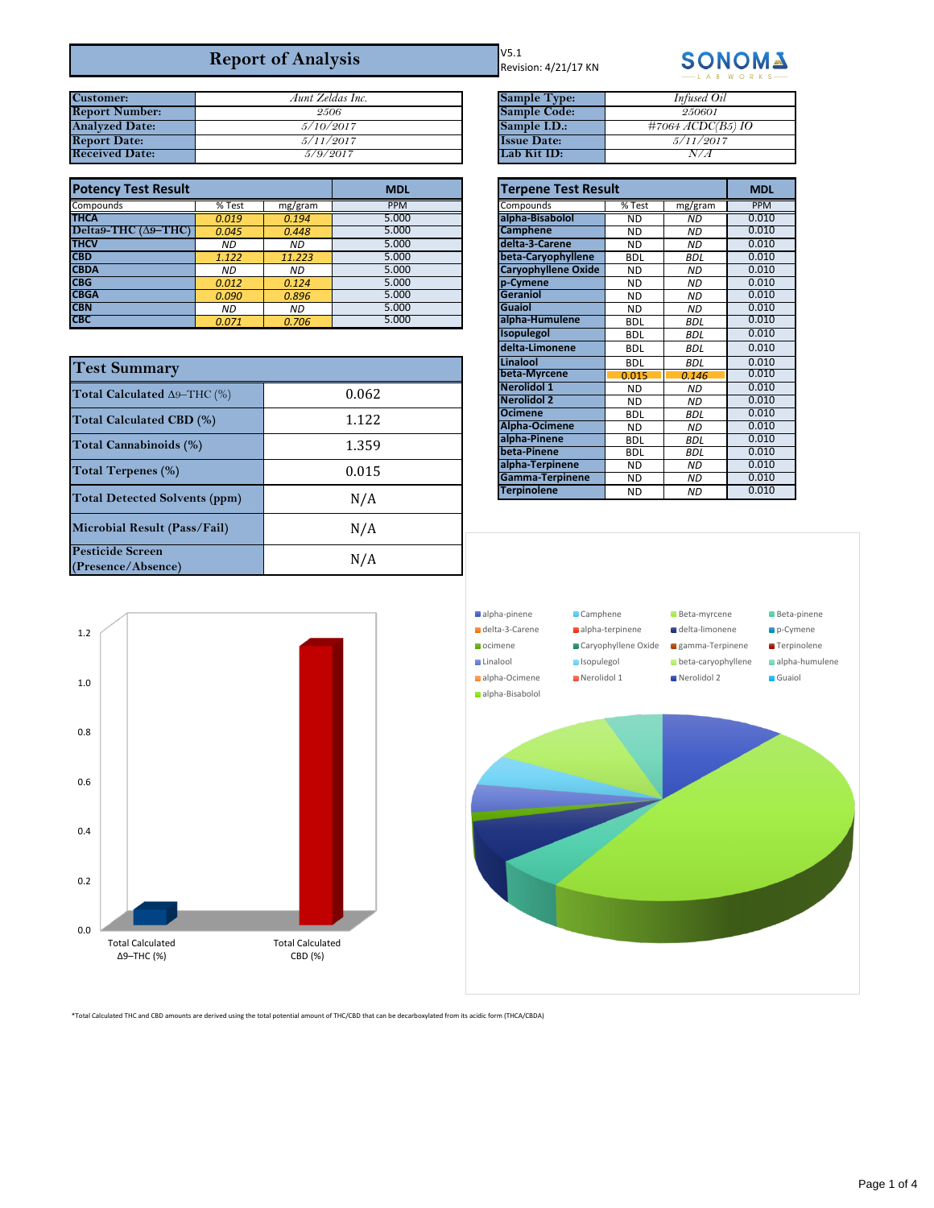## **Report of Analysis**

| <b>Customer:</b>      | Aunt Zeldas Inc. | <b>Sample Type:</b> |
|-----------------------|------------------|---------------------|
| <b>Report Number:</b> | 2506             | <b>Sample Code:</b> |
| <b>Analyzed Date:</b> | 5/10/2017        | Sample I.D.:        |
| <b>Report Date:</b>   | 5/11/2017        | <b>Issue Date:</b>  |
| <b>Received Date:</b> | 5/9/2017         | Lab Kit ID:         |

| <b>Potency Test Result</b>   |           |         | <b>MDL</b> |                            | <b>Terpene Test Result</b> |            |            |
|------------------------------|-----------|---------|------------|----------------------------|----------------------------|------------|------------|
| Compounds                    | % Test    | mg/gram | <b>PPM</b> | Compounds                  | % Test                     | mg/gram    | <b>PPM</b> |
| <b>THCA</b>                  | 0.019     | 0.194   | 5.000      | alpha-Bisabolol            | <b>ND</b>                  | <b>ND</b>  | 0.010      |
| Delta9-THC $(\Delta 9$ -THC) | 0.045     | 0.448   | 5.000      | <b>Camphene</b>            | ND.                        | <b>ND</b>  | 0.010      |
| <b>THCV</b>                  | <b>ND</b> | ND.     | 5.000      | delta-3-Carene             | <b>ND</b>                  | <b>ND</b>  | 0.010      |
| <b>CBD</b>                   | 1.122     | 11.223  | 5.000      | beta-Caryophyllene         | <b>BDL</b>                 | <b>BDL</b> | 0.010      |
| <b>CBDA</b>                  | ND        | ND.     | 5.000      | <b>Caryophyllene Oxide</b> | ND.                        | <b>ND</b>  | 0.010      |
| <b>CBG</b>                   | 0.012     | 0.124   | 5.000      | p-Cymene                   | <b>ND</b>                  | <b>ND</b>  | 0.010      |
| <b>CBGA</b>                  | 0.090     | 0.896   | 5.000      | Geraniol                   | ND.                        | <b>ND</b>  | 0.010      |
| <b>CBN</b>                   | ND.       | ND.     | 5.000      | <b>Guaiol</b>              | ND.                        | <b>ND</b>  | 0.010      |
| <b>CBC</b>                   | 0.071     | 0.706   | 5.000      | alpha-Humulene             | <b>BDL</b>                 | <b>BDL</b> | 0.010      |

| <b>Test Summary</b>                           |       |  |
|-----------------------------------------------|-------|--|
| Total Calculated A9-THC (%)                   | 0.062 |  |
| Total Calculated CBD (%)                      | 1.122 |  |
| Total Cannabinoids (%)                        | 1.359 |  |
| Total Terpenes (%)                            | 0.015 |  |
| <b>Total Detected Solvents (ppm)</b>          | N/A   |  |
| Microbial Result (Pass/Fail)                  | N/A   |  |
| <b>Pesticide Screen</b><br>(Presence/Absence) | N/A   |  |

V5.1 Revision: 4/21/17 KN



| Aunt Zeldas Inc. | <b>Sample Type:</b> | Infused Oil                |
|------------------|---------------------|----------------------------|
| 2506             | <b>Sample Code:</b> | 250601                     |
| 5/10/2017        | Sample I.D.:        | $\#7064 \, ACDC(B5) \, IO$ |
| 5/11/2017        | <b>Issue Date:</b>  | 5/11/2017                  |
| 5/9/2017         | Lab Kit ID:         |                            |

| <b>Terpene Test Result</b> | <b>MDL</b> |            |       |
|----------------------------|------------|------------|-------|
| Compounds                  | % Test     | mg/gram    | PPM   |
| alpha-Bisabolol            | <b>ND</b>  | <b>ND</b>  | 0.010 |
| <b>Camphene</b>            | <b>ND</b>  | <b>ND</b>  | 0.010 |
| delta-3-Carene             | <b>ND</b>  | <b>ND</b>  | 0.010 |
| beta-Caryophyllene         | <b>BDL</b> | <b>BDL</b> | 0.010 |
| Caryophyllene Oxide        | <b>ND</b>  | <b>ND</b>  | 0.010 |
| p-Cymene                   | <b>ND</b>  | <b>ND</b>  | 0.010 |
| <b>Geraniol</b>            | <b>ND</b>  | <b>ND</b>  | 0.010 |
| <b>Guaiol</b>              | <b>ND</b>  | <b>ND</b>  | 0.010 |
| alpha-Humulene             | <b>BDL</b> | <b>BDL</b> | 0.010 |
| Isopulegol                 | <b>BDL</b> | <b>BDL</b> | 0.010 |
| delta-Limonene             | <b>BDL</b> | <b>BDL</b> | 0.010 |
| Linalool                   | <b>BDL</b> | <b>BDL</b> | 0.010 |
| beta-Myrcene               | 0.015      | 0.146      | 0.010 |
| Nerolidol 1                | <b>ND</b>  | <b>ND</b>  | 0.010 |
| <b>Nerolidol 2</b>         | <b>ND</b>  | <b>ND</b>  | 0.010 |
| <b>Ocimene</b>             | <b>BDL</b> | <b>BDL</b> | 0.010 |
| Alpha-Ocimene              | <b>ND</b>  | <b>ND</b>  | 0.010 |
| alpha-Pinene               | <b>BDL</b> | <b>BDL</b> | 0.010 |
| beta-Pinene                | <b>BDL</b> | <b>BDL</b> | 0.010 |
| alpha-Terpinene            | <b>ND</b>  | <b>ND</b>  | 0.010 |
| Gamma-Terpinene            | <b>ND</b>  | <b>ND</b>  | 0.010 |
| <b>Terpinolene</b>         | <b>ND</b>  | <b>ND</b>  | 0.010 |





\*Total Calculated THC and CBD amounts are derived using the total potential amount of THC/CBD that can be decarboxylated from its acidic form (THCA/CBDA)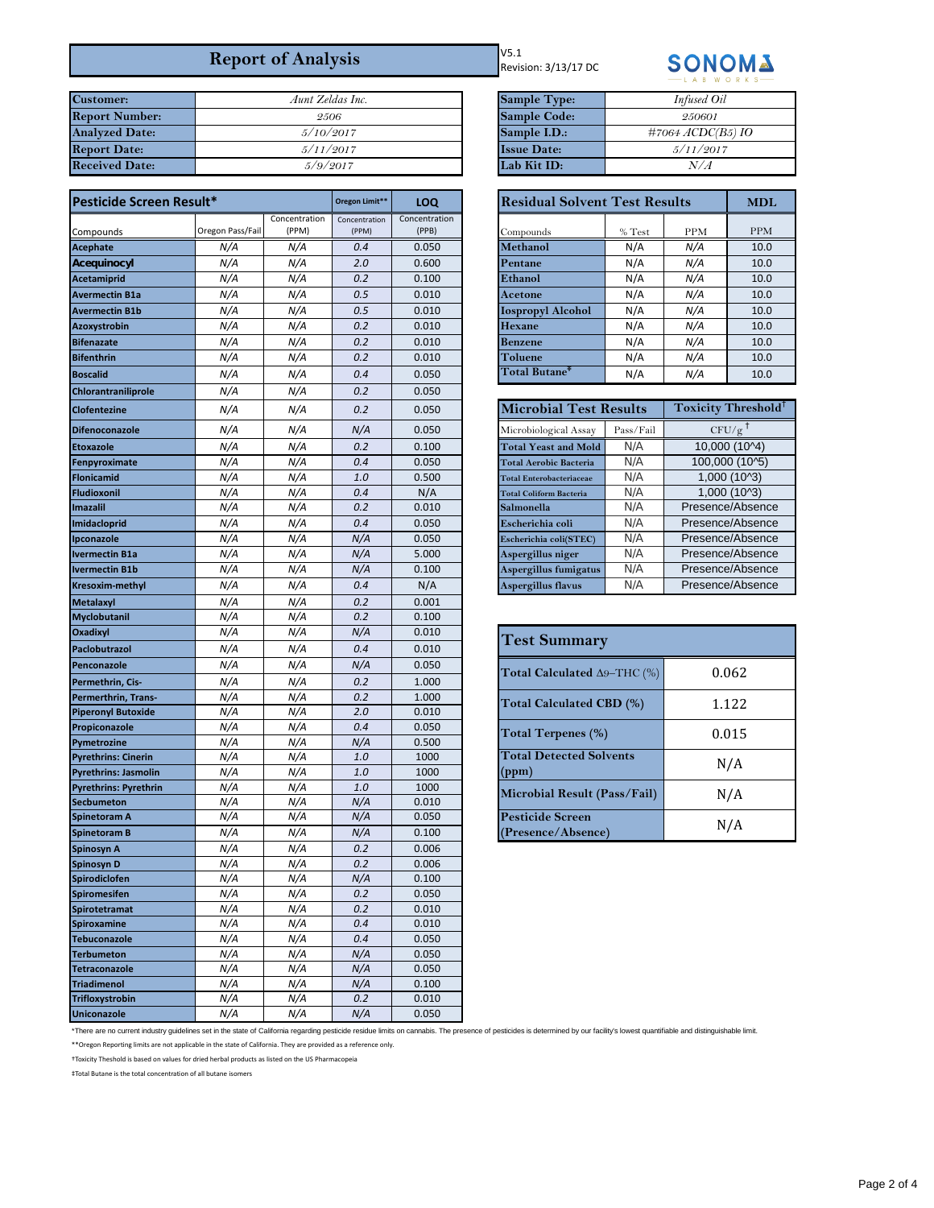## **Report of Analysis**

| <b>Customer:</b>      | Aunt Zeldas Inc. | <b>Sample Type:</b> |
|-----------------------|------------------|---------------------|
| <b>Report Number:</b> | 2506             | <b>Sample Code:</b> |
| <b>Analyzed Date:</b> | 5/10/2017        | Sample I.D.:        |
| <b>Report Date:</b>   | 5/11/2017        | <b>Issue Date:</b>  |
| <b>Received Date:</b> | 5/9/2017         | Lab Kit ID:         |

| Pesticide Screen Result*     |                  |                        | Oregon Limit**         | LOQ                    | <b>Residual Solvent Test Results</b> |           |                          | <b>MDL</b>        |
|------------------------------|------------------|------------------------|------------------------|------------------------|--------------------------------------|-----------|--------------------------|-------------------|
| Compounds                    | Oregon Pass/Fail | Concentration<br>(PPM) | Concentration<br>(PPM) | Concentration<br>(PPB) | Compounds                            | $\%$ Test | <b>PPM</b>               | <b>PPM</b>        |
| Acephate                     | N/A              | N/A                    | 0.4                    | 0.050                  | Methanol                             | N/A       | N/A                      | 10.0              |
| Acequinocyl                  | N/A              | N/A                    | 2.0                    | 0.600                  | Pentane                              | N/A       | N/A                      | 10.0              |
| <b>Acetamiprid</b>           | N/A              | N/A                    | 0.2                    | 0.100                  | Ethanol                              | N/A       | N/A                      | 10.0              |
| <b>Avermectin B1a</b>        | N/A              | N/A                    | 0.5                    | 0.010                  | Acetone                              | N/A       | N/A                      | 10.0              |
| <b>Avermectin B1b</b>        | N/A              | N/A                    | 0.5                    | 0.010                  | <b>Iospropyl Alcohol</b>             | N/A       | N/A                      | 10.0              |
| Azoxystrobin                 | N/A              | N/A                    | 0.2                    | 0.010                  | <b>Hexane</b>                        | N/A       | N/A                      | 10.0              |
| <b>Bifenazate</b>            | N/A              | N/A                    | 0.2                    | 0.010                  | <b>Benzene</b>                       | N/A       | N/A                      | 10.0              |
| <b>Bifenthrin</b>            | N/A              | N/A                    | 0.2                    | 0.010                  | Toluene                              | N/A       | N/A                      | 10.0              |
|                              |                  |                        | 0.4                    |                        | Total Butane <sup>‡</sup>            |           |                          | 10.0              |
| <b>Boscalid</b>              | N/A              | N/A                    |                        | 0.050                  |                                      | N/A       | N/A                      |                   |
| <b>Chlorantraniliprole</b>   | N/A              | N/A                    | 0.2                    | 0.050                  |                                      |           |                          |                   |
| Clofentezine                 | N/A              | N/A                    | 0.2                    | 0.050                  | <b>Microbial Test Results</b>        |           | <b>Toxicity Threshol</b> |                   |
| <b>Difenoconazole</b>        | N/A              | N/A                    | N/A                    | 0.050                  | Microbiological Assay                | Pass/Fail |                          | $CFU/g^{\dagger}$ |
| <b>Etoxazole</b>             | N/A              | N/A                    | 0.2                    | 0.100                  | <b>Total Yeast and Mold</b>          | N/A       |                          | $10,000(10^{4})$  |
| Fenpyroximate                | N/A              | N/A                    | 0.4                    | 0.050                  | <b>Total Aerobic Bacteria</b>        | N/A       |                          | 100,000 (10^5)    |
| Flonicamid                   | N/A              | N/A                    | 1.0                    | 0.500                  | <b>Total Enterobacteriaceae</b>      | N/A       |                          | 1,000 (10^3)      |
| Fludioxonil                  | N/A              | N/A                    | 0.4                    | N/A                    | <b>Total Coliform Bacteria</b>       | N/A       |                          | 1,000 (10^3)      |
| Imazalil                     | N/A              | N/A                    | 0.2                    | 0.010                  | Salmonella                           | N/A       |                          | Presence/Absence  |
| Imidacloprid                 | N/A              | N/A                    | 0.4                    | 0.050                  | Escherichia coli                     | N/A       |                          | Presence/Absence  |
| Ipconazole                   | N/A              | N/A                    | N/A                    | 0.050                  | Escherichia coli(STEC)               | N/A       |                          | Presence/Absence  |
| <b>Ivermectin B1a</b>        | N/A              | N/A                    | N/A                    | 5.000                  | Aspergillus niger                    | N/A       |                          | Presence/Absence  |
| <b>Ivermectin B1b</b>        | N/A              | N/A                    | N/A                    | 0.100                  | Aspergillus fumigatus                | N/A       |                          | Presence/Absence  |
| <b>Kresoxim-methyl</b>       | N/A              | N/A                    | 0.4                    | N/A                    | Aspergillus flavus                   | N/A       |                          | Presence/Absence  |
| <b>Metalaxyl</b>             | N/A              | N/A                    | 0.2                    | 0.001                  |                                      |           |                          |                   |
| Myclobutanil                 | N/A              | N/A                    | 0.2                    | 0.100                  |                                      |           |                          |                   |
| Oxadixyl                     | N/A              | N/A                    | N/A                    | 0.010                  | <b>Test Summary</b>                  |           |                          |                   |
| Paclobutrazol                | N/A              | N/A                    | 0.4                    | 0.010                  |                                      |           |                          |                   |
| Penconazole                  | N/A              | N/A                    | N/A                    | 0.050                  | Total Calculated $\Delta 9$ –THC (%) |           |                          | 0.062             |
| Permethrin, Cis-             | N/A              | N/A                    | 0.2                    | 1.000                  |                                      |           |                          |                   |
| Permerthrin, Trans-          | N/A              | N/A                    | 0.2                    | 1.000                  | <b>Total Calculated CBD (%)</b>      |           |                          | 1.122             |
| <b>Piperonyl Butoxide</b>    | N/A              | N/A                    | 2.0                    | 0.010                  |                                      |           |                          |                   |
| Propiconazole                | N/A              | N/A                    | 0.4                    | 0.050                  | <b>Total Terpenes (%)</b>            |           |                          | 0.015             |
| Pymetrozine                  | N/A              | N/A                    | N/A                    | 0.500                  |                                      |           |                          |                   |
| <b>Pyrethrins: Cinerin</b>   | N/A              | N/A                    | 1.0                    | 1000                   | <b>Total Detected Solvents</b>       |           |                          | N/A               |
| <b>Pyrethrins: Jasmolin</b>  | N/A              | N/A                    | 1.0                    | 1000                   | (ppm)                                |           |                          |                   |
| <b>Pyrethrins: Pyrethrin</b> | N/A              | N/A                    | 1.0                    | 1000                   | Microbial Result (Pass/Fail)         |           |                          | N/A               |
| <b>Secbumeton</b>            | N/A              | N/A                    | N/A                    | 0.010                  |                                      |           |                          |                   |
| Spinetoram A                 | N/A              | N/A                    | N/A                    | 0.050                  | <b>Pesticide Screen</b>              |           |                          | N/A               |
| <b>Spinetoram B</b>          | N/A              | N/A                    | N/A                    | 0.100                  | (Presence/Absence)                   |           |                          |                   |
| Spinosyn A                   | N/A              | N/A                    | 0.2                    | 0.006                  |                                      |           |                          |                   |
| Spinosyn D                   | N/A              | N/A                    | 0.2                    | 0.006                  |                                      |           |                          |                   |
| Spirodiclofen                | N/A              | N/A                    | N/A                    | 0.100                  |                                      |           |                          |                   |
| Spiromesifen                 | N/A              | N/A                    | 0.2                    | 0.050                  |                                      |           |                          |                   |
| Spirotetramat                | N/A              | N/A                    | 0.2                    | 0.010                  |                                      |           |                          |                   |
| Spiroxamine                  | N/A              | N/A                    | 0.4                    | 0.010                  |                                      |           |                          |                   |
| <b>Tebuconazole</b>          | N/A              | N/A                    | 0.4                    | 0.050                  |                                      |           |                          |                   |
| <b>Terbumeton</b>            | N/A              | N/A                    | N/A                    | 0.050                  |                                      |           |                          |                   |
| Tetraconazole                | N/A              | N/A                    | N/A                    | 0.050                  |                                      |           |                          |                   |
| <b>Triadimenol</b>           | N/A              | N/A                    | N/A                    | 0.100                  |                                      |           |                          |                   |
| Trifloxystrobin              | N/A              | N/A                    | 0.2                    | 0.010                  |                                      |           |                          |                   |
| Uniconazole                  | N/A              | N/A                    | N/A                    | 0.050                  |                                      |           |                          |                   |

V5.1 Revision: 3/13/17 DC



| Aunt Zeldas Inc. | <b>Sample Type:</b> | Infused Oil                |
|------------------|---------------------|----------------------------|
| 2506             | <b>Sample Code:</b> | 250601                     |
| 5/10/2017        | Sample I.D.:        | $\#7064 \, ACDC(B5) \, IO$ |
| 5/11/2017        | <b>Issue Date:</b>  | 5/11/2017                  |
| 5/9/2017         | Lab Kit ID:         | N/A                        |

| LOQ                |                                                                               | <b>Residual Solvent Test Results</b> |            |            |  |
|--------------------|-------------------------------------------------------------------------------|--------------------------------------|------------|------------|--|
| entration<br>(PPB) | Compounds                                                                     | % Test                               | <b>PPM</b> | <b>PPM</b> |  |
| 0.050              | Methanol                                                                      | N/A                                  | N/A        | 10.0       |  |
| 0.600              | Pentane                                                                       | N/A                                  | N/A        | 10.0       |  |
| 0.100              | Ethanol                                                                       | N/A                                  | N/A        | 10.0       |  |
| 0.010              | Acetone                                                                       | N/A                                  | N/A        | 10.0       |  |
| 0.010              | Iospropyl Alcohol                                                             | N/A                                  | N/A        | 10.0       |  |
| 0.010              | Hexane                                                                        | N/A                                  | N/A        | 10.0       |  |
| 0.010              | Benzene                                                                       | N/A                                  | N/A        | 10.0       |  |
| 0.010              | Toluene                                                                       | N/A                                  | N/A        | 10.0       |  |
| 0.050              | $\operatorname{\mathsf{Total}}\nolimits$ Butane $^{\text{\texttt{\tiny{*}}}}$ | N/A                                  | N/A        | 10.0       |  |

| <b>Microbial Test Results</b>   | Toxicity Threshold <sup>T</sup> |                  |
|---------------------------------|---------------------------------|------------------|
| Microbiological Assay           | Pass/Fail                       | CFU/g            |
| <b>Total Yeast and Mold</b>     | N/A                             | 10,000 (10^4)    |
| <b>Total Aerobic Bacteria</b>   | N/A                             | 100,000 (10^5)   |
| <b>Total Enterobacteriaceae</b> | N/A                             | 1,000 (10^3)     |
| <b>Total Coliform Bacteria</b>  | N/A                             | 1,000 (10^3)     |
| Salmonella                      | N/A                             | Presence/Absence |
| Escherichia coli                | N/A                             | Presence/Absence |
| Escherichia coli(STEC)          | N/A                             | Presence/Absence |
| Aspergillus niger               | N/A                             | Presence/Absence |
| Aspergillus fumigatus           | N/A                             | Presence/Absence |
| N/A<br>Aspergillus flavus       |                                 | Presence/Absence |

| <b>Test Summary</b>                           |       |  |
|-----------------------------------------------|-------|--|
| Total Calculated $\Delta 9$ –THC (%)          | 0.062 |  |
| Total Calculated CBD (%)                      | 1.122 |  |
| <b>Total Terpenes (%)</b>                     | 0.015 |  |
| <b>Total Detected Solvents</b><br>(ppm)       | N/A   |  |
| Microbial Result (Pass/Fail)                  | N/A   |  |
| <b>Pesticide Screen</b><br>(Presence/Absence) | N/A   |  |

\*There are no current industry guidelines set in the state of California regarding pesticide residue limits on cannabis. The presence of pesticides is determined by our facility's lowest quantifiable and distinguishable li

\*\*Oregon Reporting limits are not applicable in the state of California. They are provided as a reference only.

†Toxicity Theshold is based on values for dried herbal products as listed on the US Pharmacopeia

‡Total Butane is the total concentration of all butane isomers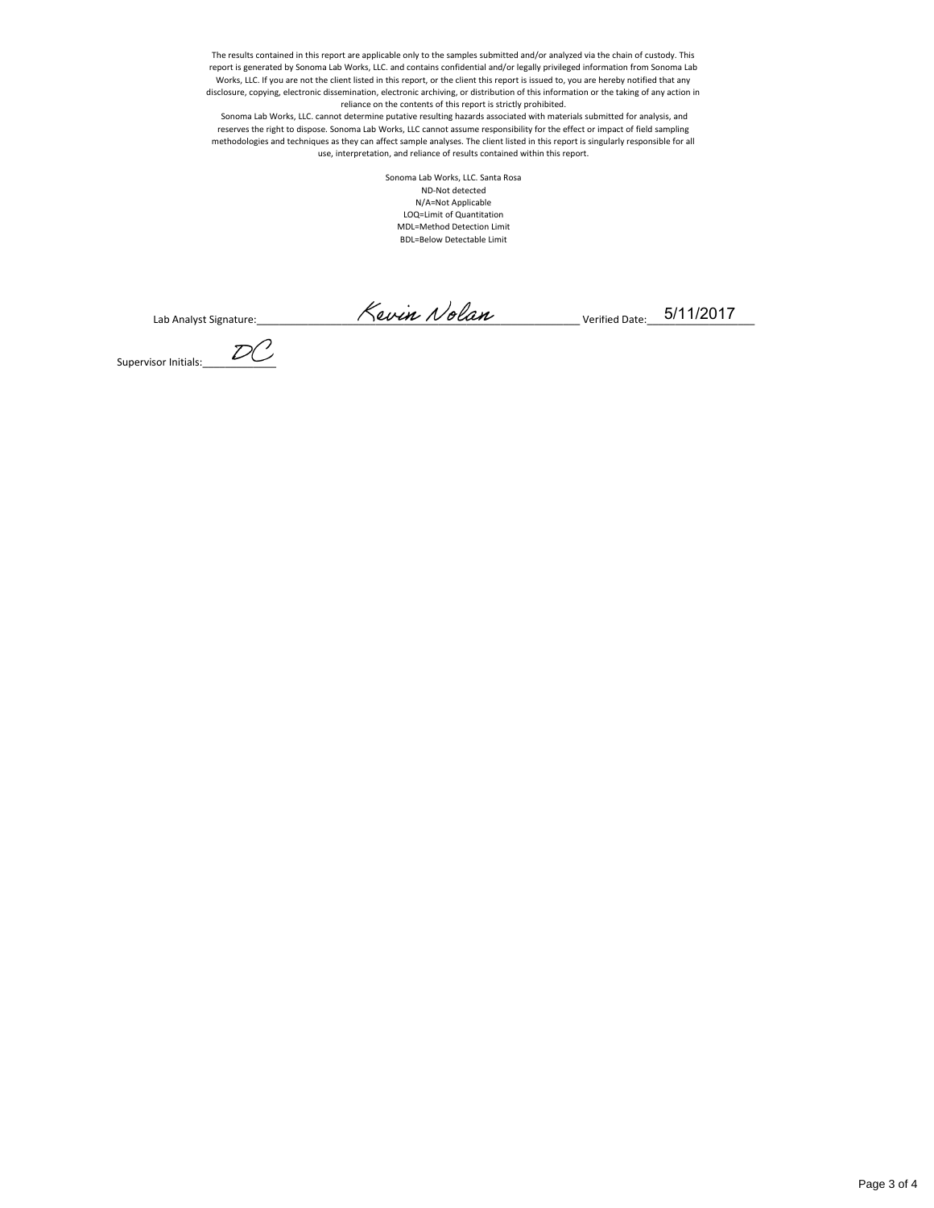The results contained in this report are applicable only to the samples submitted and/or analyzed via the chain of custody. This report is generated by Sonoma Lab Works, LLC. and contains confidential and/or legally privileged information from Sonoma Lab Works, LLC. If you are not the client listed in this report, or the client this report is issued to, you are hereby notified that any disclosure, copying, electronic dissemination, electronic archiving, or distribution of this information or the taking of any action in reliance on the contents of this report is strictly prohibited.

 Sonoma Lab Works, LLC. cannot determine putative resulting hazards associated with materials submitted for analysis, and reserves the right to dispose. Sonoma Lab Works, LLC cannot assume responsibility for the effect or impact of field sampling methodologies and techniques as they can affect sample analyses. The client listed in this report is singularly responsible for all use, interpretation, and reliance of results contained within this report.

> Sonoma Lab Works, LLC. Santa Rosa ND-Not detected N/A=Not Applicable LOQ=Limit of Quantitation MDL=Method Detection Limit BDL=Below Detectable Limit

Lab Analyst Signature:\_\_\_\_\_\_\_\_\_\_\_\_\_\_\_\_\_\_\_\_\_\_\_\_\_\_\_\_\_\_\_\_\_\_\_\_\_\_\_\_\_\_\_\_\_\_\_\_\_\_\_\_\_\_\_\_\_ Verified Date:\_\_\_\_\_\_\_\_\_\_\_\_\_\_\_\_\_\_\_

Supervisor Initials:\_\_\_\_\_\_\_\_\_\_\_\_\_

5/11/2017